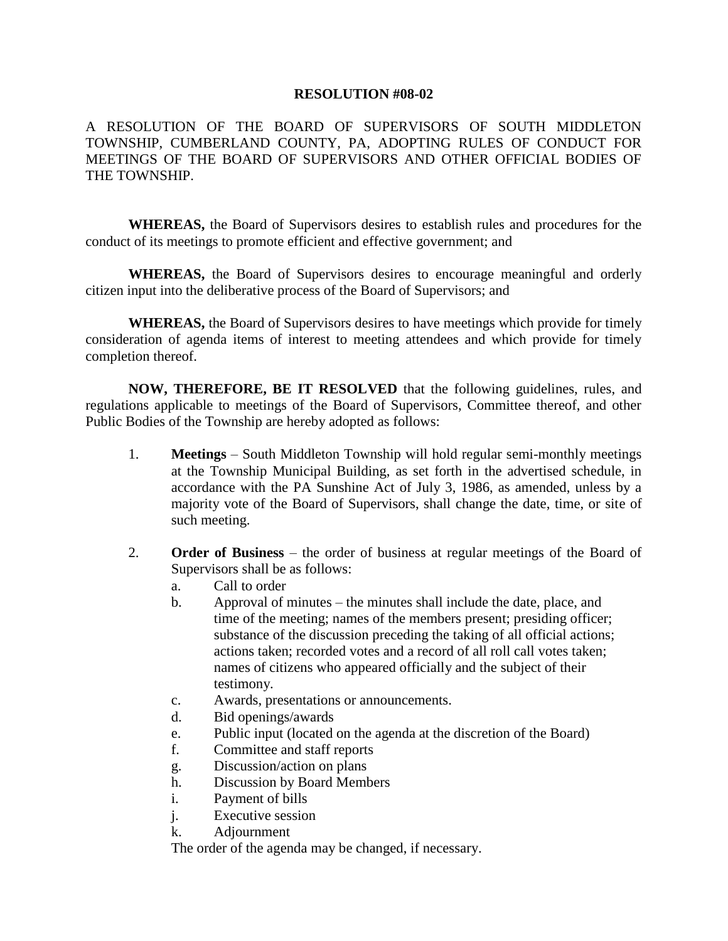## **RESOLUTION #08-02**

A RESOLUTION OF THE BOARD OF SUPERVISORS OF SOUTH MIDDLETON TOWNSHIP, CUMBERLAND COUNTY, PA, ADOPTING RULES OF CONDUCT FOR MEETINGS OF THE BOARD OF SUPERVISORS AND OTHER OFFICIAL BODIES OF THE TOWNSHIP.

**WHEREAS,** the Board of Supervisors desires to establish rules and procedures for the conduct of its meetings to promote efficient and effective government; and

**WHEREAS,** the Board of Supervisors desires to encourage meaningful and orderly citizen input into the deliberative process of the Board of Supervisors; and

**WHEREAS,** the Board of Supervisors desires to have meetings which provide for timely consideration of agenda items of interest to meeting attendees and which provide for timely completion thereof.

**NOW, THEREFORE, BE IT RESOLVED** that the following guidelines, rules, and regulations applicable to meetings of the Board of Supervisors, Committee thereof, and other Public Bodies of the Township are hereby adopted as follows:

- 1. **Meetings** South Middleton Township will hold regular semi-monthly meetings at the Township Municipal Building, as set forth in the advertised schedule, in accordance with the PA Sunshine Act of July 3, 1986, as amended, unless by a majority vote of the Board of Supervisors, shall change the date, time, or site of such meeting.
- 2. **Order of Business** the order of business at regular meetings of the Board of Supervisors shall be as follows:
	- a. Call to order
	- b. Approval of minutes the minutes shall include the date, place, and time of the meeting; names of the members present; presiding officer; substance of the discussion preceding the taking of all official actions; actions taken; recorded votes and a record of all roll call votes taken; names of citizens who appeared officially and the subject of their testimony.
	- c. Awards, presentations or announcements.
	- d. Bid openings/awards
	- e. Public input (located on the agenda at the discretion of the Board)
	- f. Committee and staff reports
	- g. Discussion/action on plans
	- h. Discussion by Board Members
	- i. Payment of bills
	- j. Executive session
	- k. Adjournment

The order of the agenda may be changed, if necessary.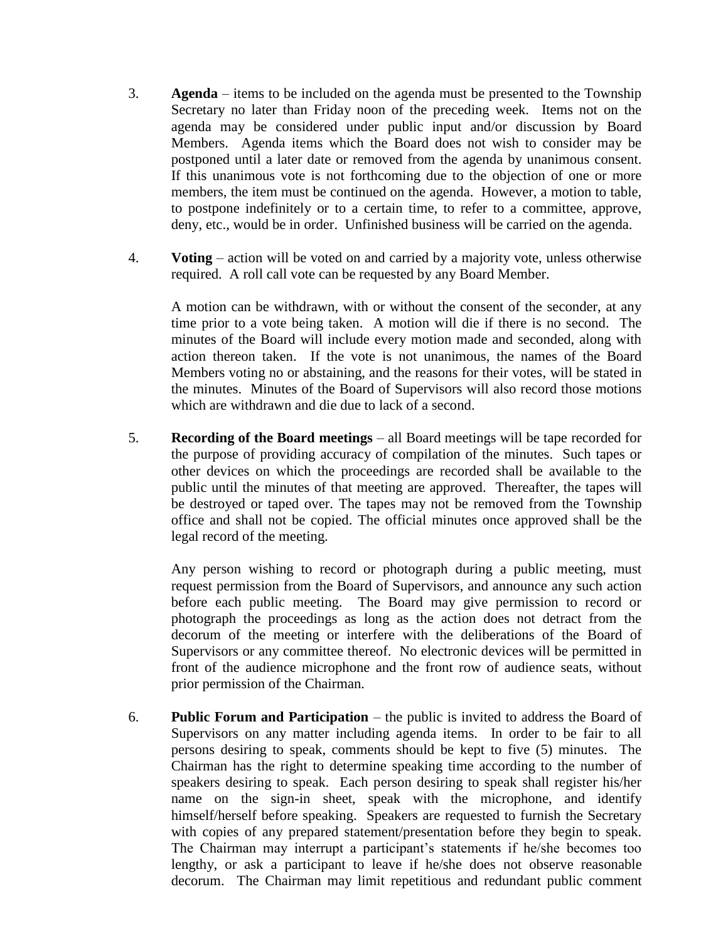- 3. **Agenda** items to be included on the agenda must be presented to the Township Secretary no later than Friday noon of the preceding week. Items not on the agenda may be considered under public input and/or discussion by Board Members. Agenda items which the Board does not wish to consider may be postponed until a later date or removed from the agenda by unanimous consent. If this unanimous vote is not forthcoming due to the objection of one or more members, the item must be continued on the agenda. However, a motion to table, to postpone indefinitely or to a certain time, to refer to a committee, approve, deny, etc., would be in order. Unfinished business will be carried on the agenda.
- 4. **Voting** action will be voted on and carried by a majority vote, unless otherwise required. A roll call vote can be requested by any Board Member.

A motion can be withdrawn, with or without the consent of the seconder, at any time prior to a vote being taken. A motion will die if there is no second. The minutes of the Board will include every motion made and seconded, along with action thereon taken. If the vote is not unanimous, the names of the Board Members voting no or abstaining, and the reasons for their votes, will be stated in the minutes. Minutes of the Board of Supervisors will also record those motions which are withdrawn and die due to lack of a second.

5. **Recording of the Board meetings** – all Board meetings will be tape recorded for the purpose of providing accuracy of compilation of the minutes. Such tapes or other devices on which the proceedings are recorded shall be available to the public until the minutes of that meeting are approved. Thereafter, the tapes will be destroyed or taped over. The tapes may not be removed from the Township office and shall not be copied. The official minutes once approved shall be the legal record of the meeting.

Any person wishing to record or photograph during a public meeting, must request permission from the Board of Supervisors, and announce any such action before each public meeting. The Board may give permission to record or photograph the proceedings as long as the action does not detract from the decorum of the meeting or interfere with the deliberations of the Board of Supervisors or any committee thereof. No electronic devices will be permitted in front of the audience microphone and the front row of audience seats, without prior permission of the Chairman.

6. **Public Forum and Participation** – the public is invited to address the Board of Supervisors on any matter including agenda items. In order to be fair to all persons desiring to speak, comments should be kept to five (5) minutes. The Chairman has the right to determine speaking time according to the number of speakers desiring to speak. Each person desiring to speak shall register his/her name on the sign-in sheet, speak with the microphone, and identify himself/herself before speaking. Speakers are requested to furnish the Secretary with copies of any prepared statement/presentation before they begin to speak. The Chairman may interrupt a participant's statements if he/she becomes too lengthy, or ask a participant to leave if he/she does not observe reasonable decorum. The Chairman may limit repetitious and redundant public comment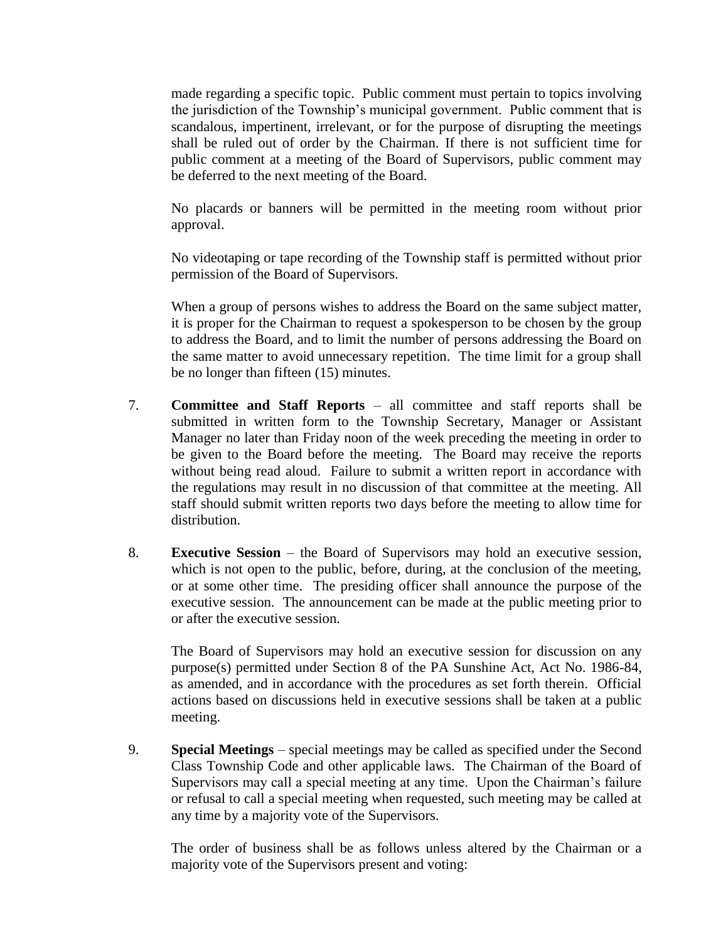made regarding a specific topic. Public comment must pertain to topics involving the jurisdiction of the Township's municipal government. Public comment that is scandalous, impertinent, irrelevant, or for the purpose of disrupting the meetings shall be ruled out of order by the Chairman. If there is not sufficient time for public comment at a meeting of the Board of Supervisors, public comment may be deferred to the next meeting of the Board.

No placards or banners will be permitted in the meeting room without prior approval.

No videotaping or tape recording of the Township staff is permitted without prior permission of the Board of Supervisors.

When a group of persons wishes to address the Board on the same subject matter, it is proper for the Chairman to request a spokesperson to be chosen by the group to address the Board, and to limit the number of persons addressing the Board on the same matter to avoid unnecessary repetition. The time limit for a group shall be no longer than fifteen (15) minutes.

- 7. **Committee and Staff Reports** all committee and staff reports shall be submitted in written form to the Township Secretary, Manager or Assistant Manager no later than Friday noon of the week preceding the meeting in order to be given to the Board before the meeting. The Board may receive the reports without being read aloud. Failure to submit a written report in accordance with the regulations may result in no discussion of that committee at the meeting. All staff should submit written reports two days before the meeting to allow time for distribution.
- 8. **Executive Session** the Board of Supervisors may hold an executive session, which is not open to the public, before, during, at the conclusion of the meeting, or at some other time. The presiding officer shall announce the purpose of the executive session. The announcement can be made at the public meeting prior to or after the executive session.

The Board of Supervisors may hold an executive session for discussion on any purpose(s) permitted under Section 8 of the PA Sunshine Act, Act No. 1986-84, as amended, and in accordance with the procedures as set forth therein. Official actions based on discussions held in executive sessions shall be taken at a public meeting.

9. **Special Meetings** – special meetings may be called as specified under the Second Class Township Code and other applicable laws. The Chairman of the Board of Supervisors may call a special meeting at any time. Upon the Chairman's failure or refusal to call a special meeting when requested, such meeting may be called at any time by a majority vote of the Supervisors.

The order of business shall be as follows unless altered by the Chairman or a majority vote of the Supervisors present and voting: